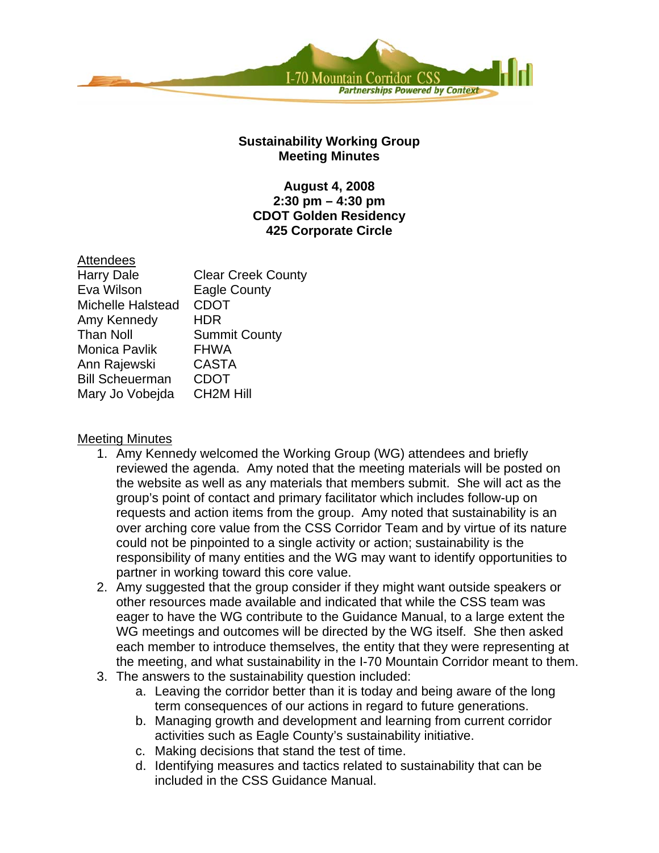

## **Sustainability Working Group Meeting Minutes**

## **August 4, 2008 2:30 pm – 4:30 pm CDOT Golden Residency 425 Corporate Circle**

# **Attendees**

| <b>Harry Dale</b>      | <b>Clear Creek County</b> |
|------------------------|---------------------------|
| Eva Wilson             | <b>Eagle County</b>       |
| Michelle Halstead      | <b>CDOT</b>               |
| Amy Kennedy            | <b>HDR</b>                |
| <b>Than Noll</b>       | <b>Summit County</b>      |
| Monica Pavlik          | <b>FHWA</b>               |
| Ann Rajewski           | <b>CASTA</b>              |
| <b>Bill Scheuerman</b> | <b>CDOT</b>               |
| Mary Jo Vobejda        | <b>CH2M Hill</b>          |

## Meeting Minutes

- 1. Amy Kennedy welcomed the Working Group (WG) attendees and briefly reviewed the agenda. Amy noted that the meeting materials will be posted on the website as well as any materials that members submit. She will act as the group's point of contact and primary facilitator which includes follow-up on requests and action items from the group. Amy noted that sustainability is an over arching core value from the CSS Corridor Team and by virtue of its nature could not be pinpointed to a single activity or action; sustainability is the responsibility of many entities and the WG may want to identify opportunities to partner in working toward this core value.
- 2. Amy suggested that the group consider if they might want outside speakers or other resources made available and indicated that while the CSS team was eager to have the WG contribute to the Guidance Manual, to a large extent the WG meetings and outcomes will be directed by the WG itself. She then asked each member to introduce themselves, the entity that they were representing at the meeting, and what sustainability in the I-70 Mountain Corridor meant to them.
- 3. The answers to the sustainability question included:
	- a. Leaving the corridor better than it is today and being aware of the long term consequences of our actions in regard to future generations.
	- b. Managing growth and development and learning from current corridor activities such as Eagle County's sustainability initiative.
	- c. Making decisions that stand the test of time.
	- d. Identifying measures and tactics related to sustainability that can be included in the CSS Guidance Manual.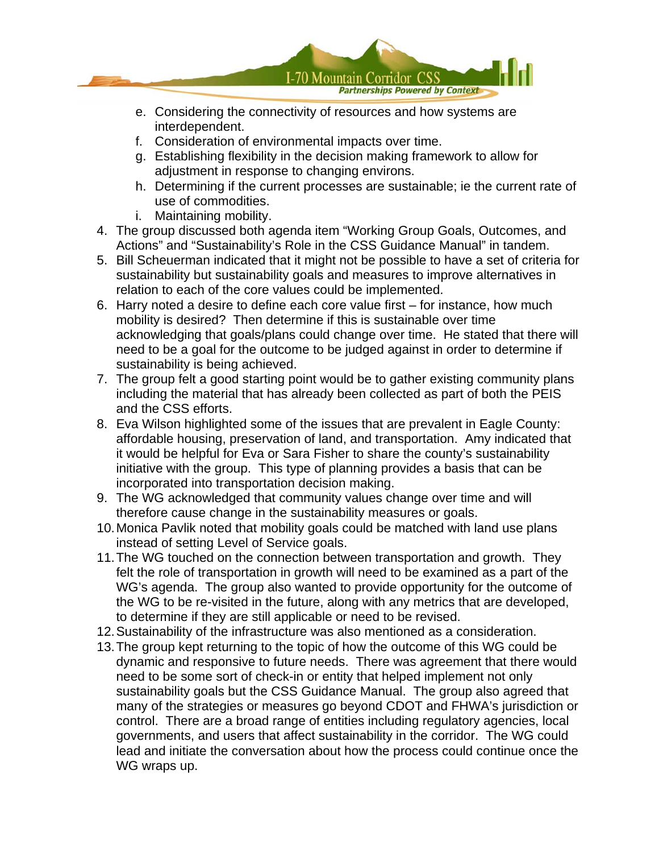

- e. Considering the connectivity of resources and how systems are interdependent.
- f. Consideration of environmental impacts over time.
- g. Establishing flexibility in the decision making framework to allow for adjustment in response to changing environs.
- h. Determining if the current processes are sustainable; ie the current rate of use of commodities.
- i. Maintaining mobility.
- 4. The group discussed both agenda item "Working Group Goals, Outcomes, and Actions" and "Sustainability's Role in the CSS Guidance Manual" in tandem.
- 5. Bill Scheuerman indicated that it might not be possible to have a set of criteria for sustainability but sustainability goals and measures to improve alternatives in relation to each of the core values could be implemented.
- 6. Harry noted a desire to define each core value first for instance, how much mobility is desired? Then determine if this is sustainable over time acknowledging that goals/plans could change over time. He stated that there will need to be a goal for the outcome to be judged against in order to determine if sustainability is being achieved.
- 7. The group felt a good starting point would be to gather existing community plans including the material that has already been collected as part of both the PEIS and the CSS efforts.
- 8. Eva Wilson highlighted some of the issues that are prevalent in Eagle County: affordable housing, preservation of land, and transportation. Amy indicated that it would be helpful for Eva or Sara Fisher to share the county's sustainability initiative with the group. This type of planning provides a basis that can be incorporated into transportation decision making.
- 9. The WG acknowledged that community values change over time and will therefore cause change in the sustainability measures or goals.
- 10. Monica Pavlik noted that mobility goals could be matched with land use plans instead of setting Level of Service goals.
- 11. The WG touched on the connection between transportation and growth. They felt the role of transportation in growth will need to be examined as a part of the WG's agenda. The group also wanted to provide opportunity for the outcome of the WG to be re-visited in the future, along with any metrics that are developed, to determine if they are still applicable or need to be revised.
- 12. Sustainability of the infrastructure was also mentioned as a consideration.
- 13. The group kept returning to the topic of how the outcome of this WG could be dynamic and responsive to future needs. There was agreement that there would need to be some sort of check-in or entity that helped implement not only sustainability goals but the CSS Guidance Manual. The group also agreed that many of the strategies or measures go beyond CDOT and FHWA's jurisdiction or control. There are a broad range of entities including regulatory agencies, local governments, and users that affect sustainability in the corridor. The WG could lead and initiate the conversation about how the process could continue once the WG wraps up.